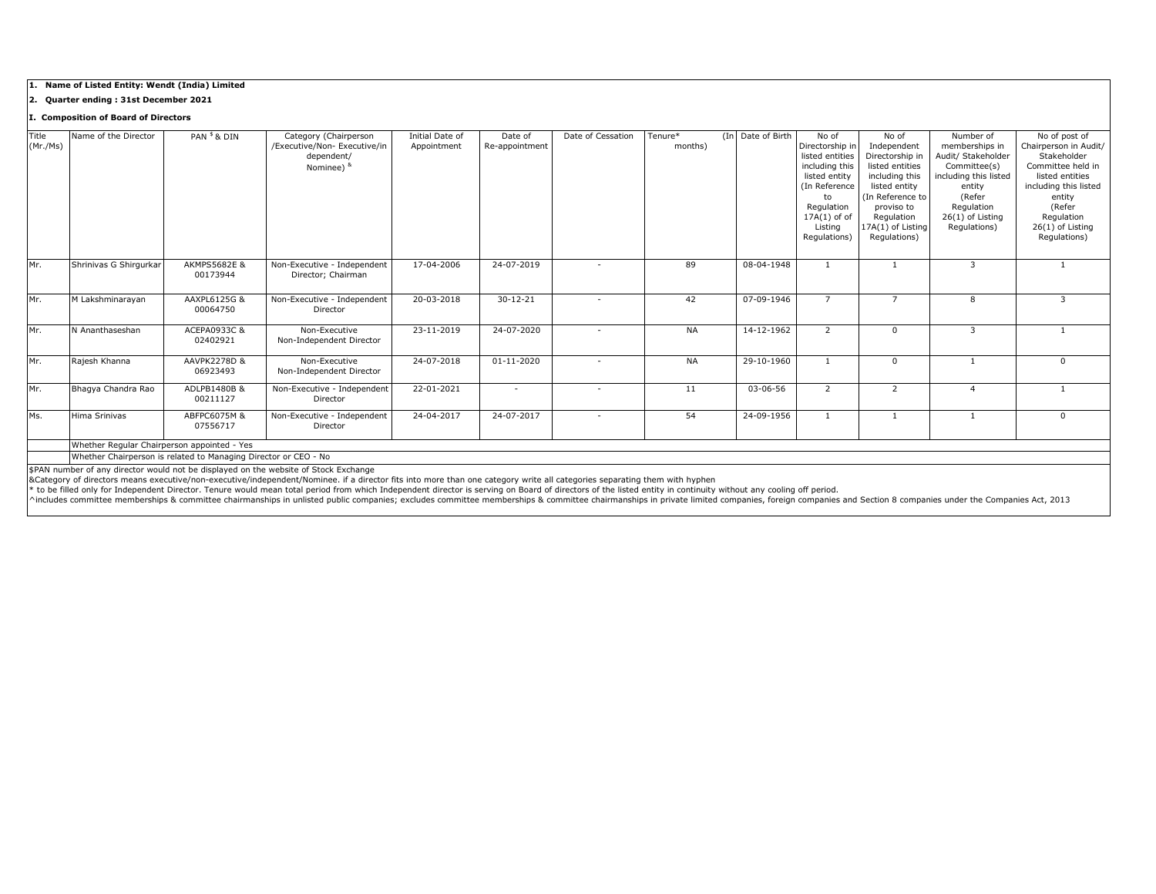## **1. Name of Listed Entity: Wendt (India) Limited**

**2. Quarter ending : 31st December 2021**

# **I. Composition of Board of Directors**

| Title    | Name of the Director   | PAN <sup>\$</sup> & DIN                     | Category (Chairperson        | Initial Date of | Date of          | Date of Cessation        | Tenure*   | (In Date of Birth | No of            | No of                             | Number of             | No of post of         |
|----------|------------------------|---------------------------------------------|------------------------------|-----------------|------------------|--------------------------|-----------|-------------------|------------------|-----------------------------------|-----------------------|-----------------------|
| (Mr./Ms) |                        |                                             | /Executive/Non- Executive/in | Appointment     | Re-appointment   |                          | months)   |                   | Directorship in  | Independent                       | memberships in        | Chairperson in Audit/ |
|          |                        |                                             | dependent/                   |                 |                  |                          |           |                   | listed entities  | Directorship in                   | Audit/ Stakeholder    | Stakeholder           |
|          |                        |                                             | Nominee) &                   |                 |                  |                          |           |                   | including this   | listed entities                   | Committee(s)          | Committee held in     |
|          |                        |                                             |                              |                 |                  |                          |           |                   | listed entity    | including this                    | including this listed | listed entities       |
|          |                        |                                             |                              |                 |                  |                          |           |                   | (In Reference    | listed entity<br>(In Reference to | entity<br>(Refer      | including this listed |
|          |                        |                                             |                              |                 |                  |                          |           |                   | to<br>Regulation | proviso to                        | Regulation            | entity<br>(Refer      |
|          |                        |                                             |                              |                 |                  |                          |           |                   | $17A(1)$ of of   | Regulation                        | $26(1)$ of Listing    | Regulation            |
|          |                        |                                             |                              |                 |                  |                          |           |                   | Listing          | 17A(1) of Listing                 | Regulations)          | 26(1) of Listing      |
|          |                        |                                             |                              |                 |                  |                          |           |                   | Regulations)     | Regulations)                      |                       | Regulations)          |
|          |                        |                                             |                              |                 |                  |                          |           |                   |                  |                                   |                       |                       |
| Mr.      | Shrinivas G Shirqurkar | <b>AKMPS5682E &amp;</b>                     | Non-Executive - Independent  | 17-04-2006      | 24-07-2019       |                          | 89        | 08-04-1948        |                  |                                   | 3                     |                       |
|          |                        | 00173944                                    | Director: Chairman           |                 |                  |                          |           |                   |                  |                                   |                       |                       |
|          |                        |                                             |                              |                 |                  |                          |           |                   |                  |                                   |                       |                       |
| Mr.      | M Lakshminarayan       | AAXPL6125G &                                | Non-Executive - Independent  | 20-03-2018      | $30 - 12 - 21$   |                          | 42        | 07-09-1946        | $\overline{7}$   | $\overline{\phantom{a}}$          | 8                     | 3                     |
|          |                        | 00064750                                    | Director                     |                 |                  |                          |           |                   |                  |                                   |                       |                       |
| Mr.      | N Ananthaseshan        | ACEPA0933C &                                | Non-Executive                | 23-11-2019      | 24-07-2020       | $\overline{\phantom{a}}$ | <b>NA</b> | 14-12-1962        | $\overline{2}$   | 0                                 | 3                     |                       |
|          |                        | 02402921                                    | Non-Independent Director     |                 |                  |                          |           |                   |                  |                                   |                       |                       |
|          |                        |                                             |                              |                 |                  |                          |           |                   |                  |                                   |                       |                       |
| Mr.      | Rajesh Khanna          | AAVPK2278D &                                | Non-Executive                | 24-07-2018      | $01 - 11 - 2020$ | $\overline{\phantom{a}}$ | <b>NA</b> | 29-10-1960        |                  | 0                                 |                       | $\Omega$              |
|          |                        | 06923493                                    | Non-Independent Director     |                 |                  |                          |           |                   |                  |                                   |                       |                       |
| Mr.      | Bhagya Chandra Rao     | ADLPB1480B &                                | Non-Executive - Independent  | 22-01-2021      |                  |                          | 11        | 03-06-56          | $\overline{2}$   | 2                                 | 4                     |                       |
|          |                        | 00211127                                    | Director                     |                 |                  |                          |           |                   |                  |                                   |                       |                       |
| Ms.      | Hima Srinivas          | ABFPC6075M &                                | Non-Executive - Independent  | 24-04-2017      | 24-07-2017       | $\overline{\phantom{a}}$ | 54        | 24-09-1956        |                  |                                   |                       | $\Omega$              |
|          |                        | 07556717                                    | Director                     |                 |                  |                          |           |                   |                  |                                   |                       |                       |
|          |                        | Whether Regular Chairperson appointed - Yes |                              |                 |                  |                          |           |                   |                  |                                   |                       |                       |
|          |                        |                                             |                              |                 |                  |                          |           |                   |                  |                                   |                       |                       |

Whether Chairperson is related to Managing Director or CEO - No

\$PAN number of any director would not be displayed on the website of Stock Exchange

&Category of directors means executive/non-executive/independent/Nominee. if a director fits into more than one category write all categories separating them with hyphen<br>\* to be filled only for Independent Director. Tenure

^includes committee memberships & committee chairmanships in unlisted public companies; excludes committee memberships & committee chairmanships in private limited companies, foreign companies and Section 8 companies under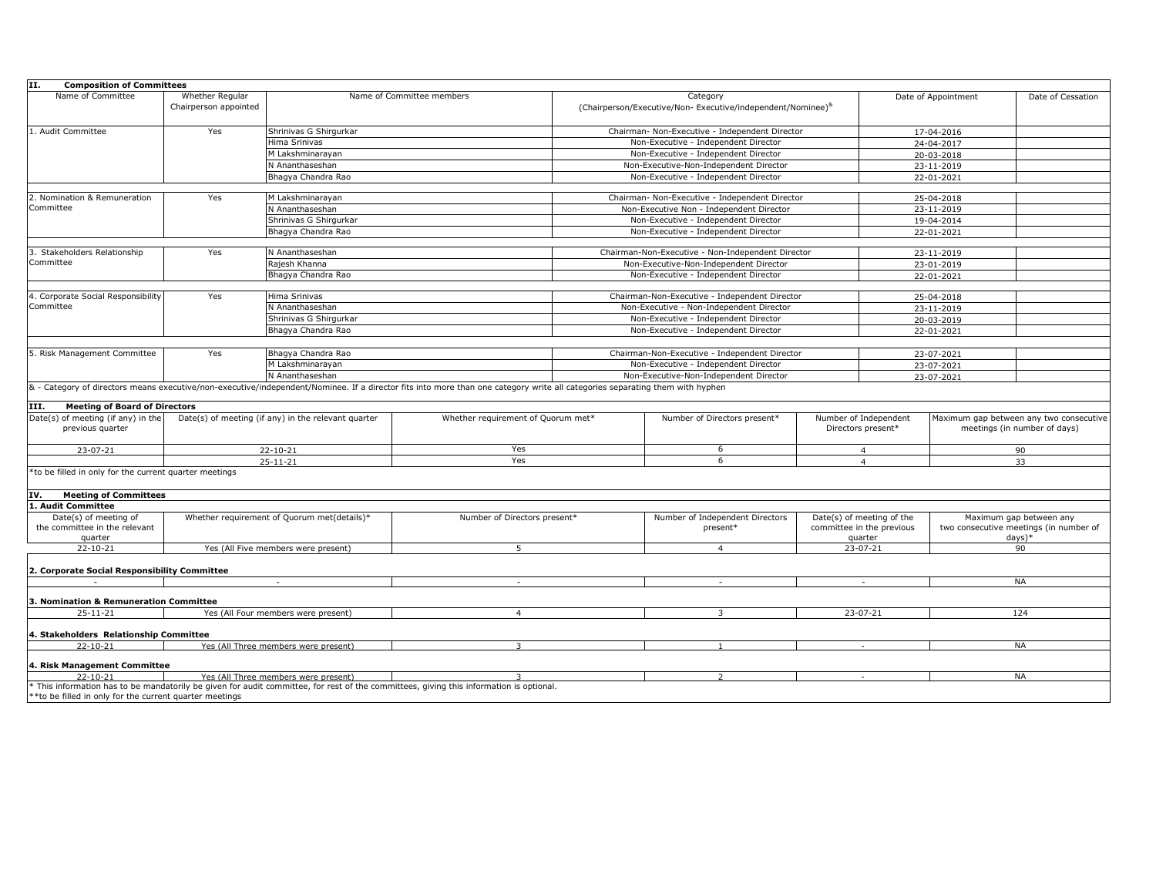| <b>Composition of Committees</b><br>II.                           |                                                       |                                                     |                                                                                                                                                                              |                                                                                        |                                                   |                                                                   |                                                                             |                                                                         |
|-------------------------------------------------------------------|-------------------------------------------------------|-----------------------------------------------------|------------------------------------------------------------------------------------------------------------------------------------------------------------------------------|----------------------------------------------------------------------------------------|---------------------------------------------------|-------------------------------------------------------------------|-----------------------------------------------------------------------------|-------------------------------------------------------------------------|
| Name of Committee                                                 | Whether Regular<br>Chairperson appointed              |                                                     | Name of Committee members                                                                                                                                                    | Category<br>(Chairperson/Executive/Non-Executive/independent/Nominee) <sup>&amp;</sup> |                                                   |                                                                   | Date of Appointment                                                         | Date of Cessation                                                       |
| 1. Audit Committee                                                | Yes                                                   | Shrinivas G Shirgurkar                              |                                                                                                                                                                              |                                                                                        | Chairman- Non-Executive - Independent Director    |                                                                   | 17-04-2016                                                                  |                                                                         |
|                                                                   |                                                       | Hima Srinivas                                       |                                                                                                                                                                              | Non-Executive - Independent Director                                                   |                                                   |                                                                   | 24-04-2017                                                                  |                                                                         |
|                                                                   |                                                       | M Lakshminarayan                                    |                                                                                                                                                                              |                                                                                        | Non-Executive - Independent Director              |                                                                   | 20-03-2018                                                                  |                                                                         |
|                                                                   |                                                       | N Ananthaseshan                                     |                                                                                                                                                                              |                                                                                        | Non-Executive-Non-Independent Director            |                                                                   | 23-11-2019                                                                  |                                                                         |
|                                                                   |                                                       | Bhagya Chandra Rao                                  |                                                                                                                                                                              |                                                                                        | Non-Executive - Independent Director              |                                                                   | 22-01-2021                                                                  |                                                                         |
|                                                                   |                                                       |                                                     |                                                                                                                                                                              |                                                                                        |                                                   |                                                                   |                                                                             |                                                                         |
| 2. Nomination & Remuneration                                      | Yes                                                   | M Lakshminarayan                                    |                                                                                                                                                                              | Chairman- Non-Executive - Independent Director                                         |                                                   |                                                                   | 25-04-2018                                                                  |                                                                         |
| Committee                                                         |                                                       | N Ananthaseshan<br>Shrinivas G Shirgurkar           |                                                                                                                                                                              | Non-Executive Non - Independent Director<br>Non-Executive - Independent Director       |                                                   |                                                                   | 23-11-2019                                                                  |                                                                         |
|                                                                   |                                                       |                                                     |                                                                                                                                                                              |                                                                                        |                                                   |                                                                   | 19-04-2014                                                                  |                                                                         |
|                                                                   |                                                       | Bhagya Chandra Rao                                  |                                                                                                                                                                              |                                                                                        | Non-Executive - Independent Director              |                                                                   | 22-01-2021                                                                  |                                                                         |
|                                                                   |                                                       |                                                     |                                                                                                                                                                              |                                                                                        |                                                   |                                                                   |                                                                             |                                                                         |
| 3. Stakeholders Relationship<br>Committee                         | Yes                                                   | N Ananthaseshan                                     |                                                                                                                                                                              |                                                                                        | Chairman-Non-Executive - Non-Independent Director |                                                                   | 23-11-2019                                                                  |                                                                         |
|                                                                   |                                                       | Rajesh Khanna                                       |                                                                                                                                                                              | Non-Executive-Non-Independent Director                                                 |                                                   |                                                                   | 23-01-2019                                                                  |                                                                         |
|                                                                   |                                                       | Bhagya Chandra Rao                                  |                                                                                                                                                                              |                                                                                        | Non-Executive - Independent Director              |                                                                   | 22-01-2021                                                                  |                                                                         |
| 4. Corporate Social Responsibility                                | Yes                                                   | Hima Srinivas                                       |                                                                                                                                                                              |                                                                                        | Chairman-Non-Executive - Independent Director     |                                                                   | 25-04-2018                                                                  |                                                                         |
| Committee                                                         |                                                       | N Ananthaseshan                                     |                                                                                                                                                                              |                                                                                        | Non-Executive - Non-Independent Director          |                                                                   | 23-11-2019                                                                  |                                                                         |
|                                                                   |                                                       | Shrinivas G Shirgurkar                              |                                                                                                                                                                              |                                                                                        | Non-Executive - Independent Director              |                                                                   | 20-03-2019                                                                  |                                                                         |
|                                                                   |                                                       | Bhagya Chandra Rao                                  |                                                                                                                                                                              |                                                                                        | Non-Executive - Independent Director              |                                                                   | 22-01-2021                                                                  |                                                                         |
|                                                                   |                                                       |                                                     |                                                                                                                                                                              |                                                                                        |                                                   |                                                                   |                                                                             |                                                                         |
| 5. Risk Management Committee                                      | Yes<br>Bhagya Chandra Rao                             |                                                     |                                                                                                                                                                              | Chairman-Non-Executive - Independent Director                                          |                                                   |                                                                   | 23-07-2021                                                                  |                                                                         |
|                                                                   |                                                       | M Lakshminarayan                                    |                                                                                                                                                                              |                                                                                        | Non-Executive - Independent Director              |                                                                   | 23-07-2021                                                                  |                                                                         |
|                                                                   | N Ananthaseshan                                       |                                                     |                                                                                                                                                                              |                                                                                        | Non-Executive-Non-Independent Director            |                                                                   | 23-07-2021                                                                  |                                                                         |
|                                                                   |                                                       |                                                     | & - Category of directors means executive/non-executive/independent/Nominee. If a director fits into more than one category write all categories separating them with hyphen |                                                                                        |                                                   |                                                                   |                                                                             |                                                                         |
| <b>Meeting of Board of Directors</b><br>III.                      |                                                       |                                                     |                                                                                                                                                                              |                                                                                        |                                                   |                                                                   |                                                                             |                                                                         |
| Date(s) of meeting (if any) in the<br>previous quarter            |                                                       | Date(s) of meeting (if any) in the relevant quarter | Whether requirement of Quorum met*                                                                                                                                           |                                                                                        | Number of Directors present*                      | Number of Independent<br>Directors present*                       |                                                                             | Maximum gap between any two consecutive<br>meetings (in number of days) |
| 23-07-21                                                          |                                                       | $22 - 10 - 21$                                      | Yes                                                                                                                                                                          |                                                                                        | 6                                                 | $\overline{4}$                                                    |                                                                             | 90                                                                      |
|                                                                   | $25 - 11 - 21$                                        |                                                     | Yes                                                                                                                                                                          |                                                                                        | 6                                                 | $\overline{4}$                                                    |                                                                             | 33                                                                      |
| *to be filled in only for the current quarter meetings            |                                                       |                                                     |                                                                                                                                                                              |                                                                                        |                                                   |                                                                   |                                                                             |                                                                         |
| <b>Meeting of Committees</b><br>IV.                               |                                                       |                                                     |                                                                                                                                                                              |                                                                                        |                                                   |                                                                   |                                                                             |                                                                         |
| 1. Audit Committee                                                |                                                       |                                                     |                                                                                                                                                                              |                                                                                        |                                                   |                                                                   |                                                                             |                                                                         |
| Date(s) of meeting of<br>the committee in the relevant<br>quarter | Whether requirement of Quorum met(details)*           |                                                     |                                                                                                                                                                              | Number of Directors present*                                                           |                                                   | Date(s) of meeting of the<br>committee in the previous<br>quarter | Maximum gap between any<br>two consecutive meetings (in number of<br>days)* |                                                                         |
| $22 - 10 - 21$                                                    | Yes (All Five members were present)<br>5              |                                                     | $\overline{4}$                                                                                                                                                               |                                                                                        | $23 - 07 - 21$                                    | 90                                                                |                                                                             |                                                                         |
| 2. Corporate Social Responsibility Committee                      |                                                       |                                                     |                                                                                                                                                                              |                                                                                        |                                                   |                                                                   |                                                                             |                                                                         |
|                                                                   |                                                       | $\sim$                                              | $\sim$                                                                                                                                                                       |                                                                                        | $\sim$                                            | $\sim$                                                            |                                                                             | <b>NA</b>                                                               |
| 3. Nomination & Remuneration Committee                            |                                                       |                                                     |                                                                                                                                                                              |                                                                                        |                                                   |                                                                   |                                                                             |                                                                         |
| $25 - 11 - 21$                                                    | Yes (All Four members were present)<br>$\overline{4}$ |                                                     |                                                                                                                                                                              | 3                                                                                      |                                                   | 23-07-21                                                          | 124                                                                         |                                                                         |
| 4. Stakeholders Relationship Committee                            |                                                       |                                                     |                                                                                                                                                                              |                                                                                        |                                                   |                                                                   |                                                                             |                                                                         |
| $22 - 10 - 21$                                                    |                                                       | Yes (All Three members were present)                |                                                                                                                                                                              |                                                                                        |                                                   |                                                                   | <b>NA</b>                                                                   |                                                                         |
| 4. Risk Management Committee                                      |                                                       |                                                     |                                                                                                                                                                              |                                                                                        |                                                   |                                                                   |                                                                             |                                                                         |
| $22 - 10 - 21$                                                    |                                                       | Yes (All Three members were present)                |                                                                                                                                                                              |                                                                                        |                                                   | $\sim$                                                            |                                                                             | <b>NA</b>                                                               |
| ** to be filled in only for the current quarter meetings          |                                                       |                                                     | * This information has to be mandatorily be given for audit committee, for rest of the committees, giving this information is optional.                                      |                                                                                        |                                                   |                                                                   |                                                                             |                                                                         |